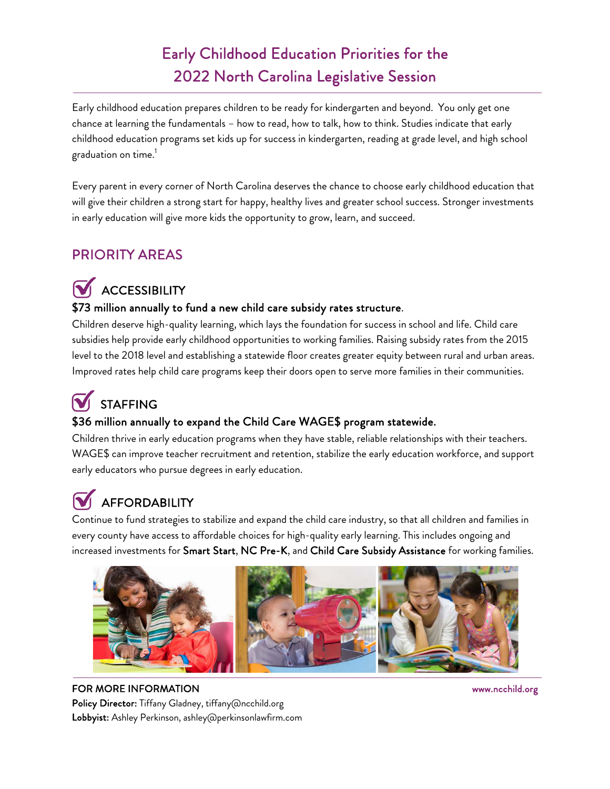### Early Childhood Education Priorities for the 2022 North Carolina Legislative Session

Early childhood education prepares children to be ready for kindergarten and beyond. You only get one chance at learning the fundamentals – how to read, how to talk, how to think. Studies indicate that early childhood education programs set kids up for success in kindergarten, reading at grade level, and high school graduation on time. 1

Every parent in every corner of North Carolina deserves the chance to choose early childhood education that will give their children a strong start for happy, healthy lives and greater school success. Stronger investments in early education will give more kids the opportunity to grow, learn, and succeed.

### PRIORITY AREAS

# **V** ACCESSIBILITY

#### \$73 million annually to fund a new child care subsidy rates structure.

Children deserve high-quality learning, which lays the foundation for success in school and life. Child care subsidies help provide early childhood opportunities to working families. Raising subsidy rates from the 2015 level to the 2018 level and establishing a statewide floor creates greater equity between rural and urban areas. Improved rates help child care programs keep their doors open to serve more families in their communities.

## STAFFING

#### \$36 million annually to expand the Child Care WAGE\$ program statewide.

Children thrive in early education programs when they have stable, reliable relationships with their teachers. WAGE\$ can improve teacher recruitment and retention, stabilize the early education workforce, and support early educators who pursue degrees in early education.

# **W** AFFORDABILITY

Continue to fund strategies to stabilize and expand the child care industry, so that all children and families in every county have access to affordable choices for high-quality early learning. This includes ongoing and increased investments for Smart Start, NC Pre-K, and Child Care Subsidy Assistance for working families.



#### FOR MORE INFORMATION WWW.ncchild.org

Policy Director: Tiffany Gladney, tiffany@ncchild.org Lobbyist: Ashley Perkinson, ashley@perkinsonlawfirm.com